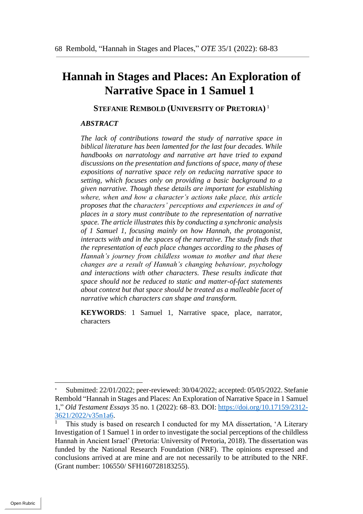# **Hannah in Stages and Places: An Exploration of Narrative Space in 1 Samuel 1**

#### **STEFANIE REMBOLD (UNIVERSITY OF PRETORIA)** 1

#### *ABSTRACT*

*The lack of contributions toward the study of narrative space in biblical literature has been lamented for the last four decades. While handbooks on narratology and narrative art have tried to expand discussions on the presentation and functions of space, many of these expositions of narrative space rely on reducing narrative space to setting, which focuses only on providing a basic background to a given narrative. Though these details are important for establishing where, when and how a character's actions take place, this article proposes that the characters' perceptions and experiences in and of places in a story must contribute to the representation of narrative space. The article illustrates this by conducting a synchronic analysis of 1 Samuel 1, focusing mainly on how Hannah, the protagonist, interacts with and in the spaces of the narrative. The study finds that the representation of each place changes according to the phases of Hannah's journey from childless woman to mother and that these changes are a result of Hannah's changing behaviour, psychology and interactions with other characters. These results indicate that space should not be reduced to static and matter-of-fact statements about context but that space should be treated as a malleable facet of narrative which characters can shape and transform.* 

**KEYWORDS**: 1 Samuel 1, Narrative space, place, narrator, characters

Submitted: 22/01/2022; peer-reviewed: 30/04/2022; accepted: 05/05/2022. Stefanie Rembold "Hannah in Stages and Places: An Exploration of Narrative Space in 1 Samuel 1," *Old Testament Essays* 35 no. 1 (2022): 68–83. DOI: https://doi.org/10.17159/2312- 3621/2022/v35n1a6.

<sup>1</sup> This study is based on research I conducted for my MA dissertation, 'A Literary Investigation of 1 Samuel 1 in order to investigate the social perceptions of the childless Hannah in Ancient Israel' (Pretoria: University of Pretoria, 2018). The dissertation was funded by the National Research Foundation (NRF). The opinions expressed and conclusions arrived at are mine and are not necessarily to be attributed to the NRF. (Grant number: 106550/ SFH160728183255).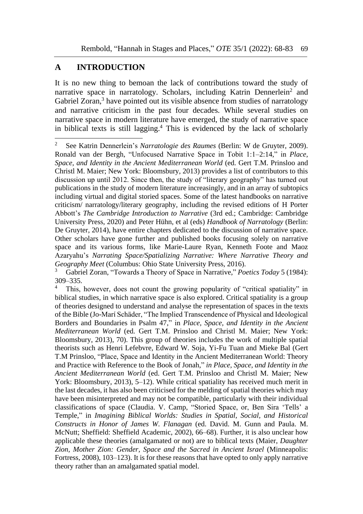## **A INTRODUCTION**

1

It is no new thing to bemoan the lack of contributions toward the study of narrative space in narratology. Scholars, including Katrin Dennerlein<sup>2</sup> and Gabriel Zoran,<sup>3</sup> have pointed out its visible absence from studies of narratology and narrative criticism in the past four decades. While several studies on narrative space in modern literature have emerged, the study of narrative space in biblical texts is still lagging. <sup>4</sup> This is evidenced by the lack of scholarly

<sup>2</sup> See Katrin Dennerlein's *Narratologie des Raumes* (Berlin: W de Gruyter, 2009). Ronald van der Bergh, "Unfocused Narrative Space in Tobit 1:1–2:14," in *Place, Space, and Identity in the Ancient Mediterranean World* (ed. Gert T.M. Prinsloo and Christl M. Maier; New York: Bloomsbury, 2013) provides a list of contributors to this discussion up until 2012. Since then, the study of "literary geography" has turned out publications in the study of modern literature increasingly, and in an array of subtopics including virtual and digital storied spaces. Some of the latest handbooks on narrative criticism/ narratology/literary geography, including the revised editions of H Porter Abbott's *The Cambridge Introduction to Narrative* (3rd ed.; Cambridge: Cambridge University Press, 2020) and Peter Hühn, et al (eds) *Handbook of Narratology* (Berlin: De Gruyter, 2014), have entire chapters dedicated to the discussion of narrative space. Other scholars have gone further and published books focusing solely on narrative space and its various forms, like Marie-Laure Ryan, Kenneth Foote and Maoz Azaryahu's *Narrating Space/Spatializing Narrative: Where Narrative Theory and Geography Meet* (Columbus: Ohio State University Press, 2016).

<sup>3</sup> Gabriel Zoran, "Towards a Theory of Space in Narrative," *Poetics Today* 5 (1984): 309–335.

This, however, does not count the growing popularity of "critical spatiality" in biblical studies, in which narrative space is also explored. Critical spatiality is a group of theories designed to understand and analyse the representation of spaces in the texts of the Bible (Jo-Marí Schäder, "The Implied Transcendence of Physical and Ideological Borders and Boundaries in Psalm 47," in *Place, Space, and Identity in the Ancient Mediterranean World* (ed. Gert T.M. Prinsloo and Christl M. Maier; New York: Bloomsbury, 2013), 70). This group of theories includes the work of multiple spatial theorists such as Henri Lefebvre, Edward W. Soja, Yi-Fu Tuan and Mieke Bal (Gert T.M Prinsloo, "Place, Space and Identity in the Ancient Mediterranean World: Theory and Practice with Reference to the Book of Jonah," *in Place, Space, and Identity in the Ancient Mediterranean World* (ed. Gert T.M. Prinsloo and Christl M. Maier; New York: Bloomsbury, 2013), 5–12). While critical spatiality has received much merit in the last decades, it has also been criticised for the melding of spatial theories which may have been misinterpreted and may not be compatible, particularly with their individual classifications of space (Claudia. V. Camp, "Storied Space, or, Ben Sira 'Tells' a Temple," in *Imagining Biblical Worlds: Studies in Spatial, Social, and Historical Constructs in Honor of James W. Flanagan* (ed. David. M. Gunn and Paula. M. McNutt; Sheffield: Sheffield Academic, 2002), 66–68). Further, it is also unclear how applicable these theories (amalgamated or not) are to biblical texts (Maier, *Daughter Zion, Mother Zion: Gender, Space and the Sacred in Ancient Israel* (Minneapolis: Fortress, 2008), 103–123). It is for these reasons that have opted to only apply narrative theory rather than an amalgamated spatial model.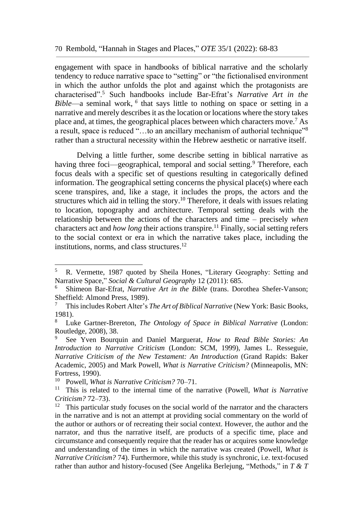engagement with space in handbooks of biblical narrative and the scholarly tendency to reduce narrative space to "setting" or "the fictionalised environment in which the author unfolds the plot and against which the protagonists are characterised".<sup>5</sup> Such handbooks include Bar-Efrat's *Narrative Art in the Bible*—a seminal work, *6* that says little to nothing on space or setting in a narrative and merely describes it as the location or locations where the story takes place and, at times, the geographical places between which characters move.<sup>7</sup> As a result, space is reduced "…to an ancillary mechanism of authorial technique"<sup>8</sup> rather than a structural necessity within the Hebrew aesthetic or narrative itself.

Delving a little further, some describe setting in biblical narrative as having three foci—geographical, temporal and social setting.<sup>9</sup> Therefore, each focus deals with a specific set of questions resulting in categorically defined information. The geographical setting concerns the physical place(s) where each scene transpires, and, like a stage, it includes the props, the actors and the structures which aid in telling the story.<sup>10</sup> Therefore, it deals with issues relating to location, topography and architecture. Temporal setting deals with the relationship between the actions of the characters and time – precisely *when* characters act and *how long* their actions transpire.<sup>11</sup> Finally, social setting refers to the social context or era in which the narrative takes place, including the institutions, norms, and class structures. 12

<sup>5</sup> R. Vermette, 1987 quoted by Sheila Hones, "Literary Geography: Setting and Narrative Space," *Social & Cultural Geography* 12 (2011): 685.

<sup>6</sup> Shimeon Bar-Efrat, *Narrative Art in the Bible* (trans. Dorothea Shefer-Vanson; Sheffield: Almond Press, 1989).

<sup>7</sup> This includes Robert Alter's *The Art of Biblical Narrative* (New York: Basic Books, 1981).

<sup>8</sup> Luke Gartner-Brereton, *The Ontology of Space in Biblical Narrative* (London: Routledge, 2008), 38.

<sup>9</sup> See Yven Bourquin and Daniel Marguerat, *How to Read Bible Stories: An Introduction to Narrative Criticism* (London: SCM, 1999), James L. Resseguie, *Narrative Criticism of the New Testament: An Introduction* (Grand Rapids: Baker Academic, 2005) and Mark Powell, *What is Narrative Criticism?* (Minneapolis, MN: Fortress, 1990).<br> $^{10}$  Powell Whe

<sup>10</sup> Powell, *What is Narrative Criticism?* 70–71.

<sup>11</sup> This is related to the internal time of the narrative (Powell, *What is Narrative Criticism?* 72–73).

 $12$  This particular study focuses on the social world of the narrator and the characters in the narrative and is not an attempt at providing social commentary on the world of the author or authors or of recreating their social context. However, the author and the narrator, and thus the narrative itself, are products of a specific time, place and circumstance and consequently require that the reader has or acquires some knowledge and understanding of the times in which the narrative was created (Powell, *What is Narrative Criticism?* 74). Furthermore, while this study is synchronic, i.e. text-focused rather than author and history-focused (See Angelika Berlejung, "Methods," in *T & T*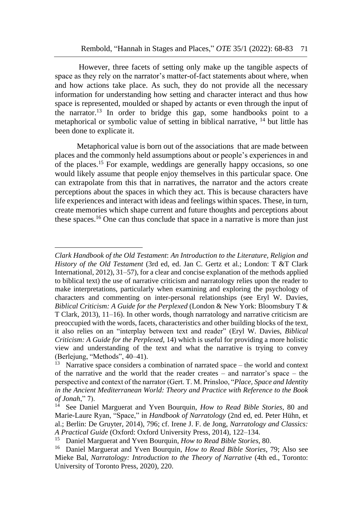However, three facets of setting only make up the tangible aspects of space as they rely on the narrator's matter-of-fact statements about where, when and how actions take place. As such, they do not provide all the necessary information for understanding how setting and character interact and thus how space is represented, moulded or shaped by actants or even through the input of the narrator.<sup>13</sup> In order to bridge this gap, some handbooks point to a metaphorical or symbolic value of setting in biblical narrative, <sup>14</sup> but little has been done to explicate it.

Metaphorical value is born out of the associations that are made between places and the commonly held assumptions about or people's experiences in and of the places. <sup>15</sup> For example, weddings are generally happy occasions, so one would likely assume that people enjoy themselves in this particular space. One can extrapolate from this that in narratives, the narrator and the actors create perceptions about the spaces in which they act. This is because characters have life experiences and interact with ideas and feelings within spaces. These, in turn, create memories which shape current and future thoughts and perceptions about these spaces.<sup>16</sup> One can thus conclude that space in a narrative is more than just

*Clark Handbook of the Old Testament*: *An Introduction to the Literature, Religion and History of the Old Testament* (3rd ed, ed. Jan C. Gertz et al.; London: T &T Clark International, 2012), 31–57), for a clear and concise explanation of the methods applied to biblical text) the use of narrative criticism and narratology relies upon the reader to make interpretations, particularly when examining and exploring the psychology of characters and commenting on inter-personal relationships (see Eryl W. Davies, *Biblical Criticism: A Guide for the Perplexed* (London & New York: Bloomsbury T & T Clark, 2013), 11–16). In other words, though narratology and narrative criticism are preoccupied with the words, facets, characteristics and other building blocks of the text, it also relies on an "interplay between text and reader" (Eryl W. Davies, *Biblical Criticism: A Guide for the Perplexed*, 14) which is useful for providing a more holistic view and understanding of the text and what the narrative is trying to convey (Berlejung, "Methods", 40–41).

<sup>&</sup>lt;sup>13</sup> Narrative space considers a combination of narrated space – the world and context of the narrative and the world that the reader creates – and narrator's space – the perspective and context of the narrator (Gert. T. M. Prinsloo, "*Place, Space and Identity in the Ancient Mediterranean World: Theory and Practice with Reference to the Book of Jonah*," 7).

<sup>14</sup> See Daniel Marguerat and Yven Bourquin, *How to Read Bible Stories*, 80 and Marie-Laure Ryan, "Space," in *Handbook of Narratology* (2nd ed, ed. Peter Hühn, et al.; Berlin: De Gruyter, 2014), 796; cf. Irene J. F. de Jong, *Narratology and Classics: A Practical Guide* (Oxford: Oxford University Press, 2014), 122–134.

<sup>15</sup> Daniel Marguerat and Yven Bourquin, *How to Read Bible Stories*, 80.

<sup>16</sup> Daniel Marguerat and Yven Bourquin, *How to Read Bible Stories*, 79; Also see Mieke Bal, *Narratology: Introduction to the Theory of Narrative* (4th ed., Toronto: University of Toronto Press, 2020), 220.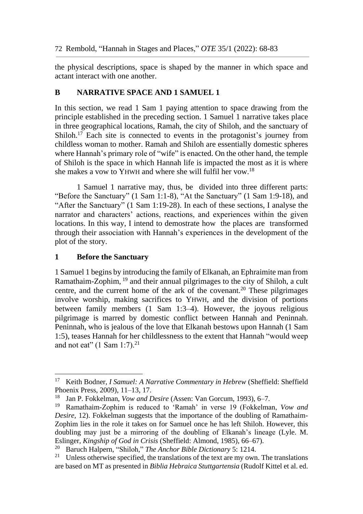the physical descriptions, space is shaped by the manner in which space and actant interact with one another.

### **B NARRATIVE SPACE AND 1 SAMUEL 1**

In this section, we read 1 Sam 1 paying attention to space drawing from the principle established in the preceding section. 1 Samuel 1 narrative takes place in three geographical locations, Ramah, the city of Shiloh, and the sanctuary of Shiloh.<sup>17</sup> Each site is connected to events in the protagonist's journey from childless woman to mother. Ramah and Shiloh are essentially domestic spheres where Hannah's primary role of "wife" is enacted. On the other hand, the temple of Shiloh is the space in which Hannah life is impacted the most as it is where she makes a vow to YHWH and where she will fulfil her vow.<sup>18</sup>

1 Samuel 1 narrative may, thus, be divided into three different parts: "Before the Sanctuary" (1 Sam 1:1-8), "At the Sanctuary" (1 Sam 1:9-18), and "After the Sanctuary" (1 Sam 1:19-28). In each of these sections, I analyse the narrator and characters' actions, reactions, and experiences within the given locations. In this way, I intend to demostrate how the places are transformed through their association with Hannah's experiences in the development of the plot of the story.

#### **1 Before the Sanctuary**

1

1 Samuel 1 begins by introducing the family of Elkanah, an Ephraimite man from Ramathaim-Zophim, <sup>19</sup> and their annual pilgrimages to the city of Shiloh, a cult centre, and the current home of the ark of the covenant.<sup>20</sup> These pilgrimages involve worship, making sacrifices to YHWH, and the division of portions between family members (1 Sam 1:3–4). However, the joyous religious pilgrimage is marred by domestic conflict between Hannah and Peninnah. Peninnah, who is jealous of the love that Elkanah bestows upon Hannah (1 Sam 1:5), teases Hannah for her childlessness to the extent that Hannah "would weep and not eat"  $(1 \text{ Sam } 1:7).^{21}$ 

<sup>17</sup> Keith Bodner, *I Samuel: A Narrative Commentary in Hebrew* (Sheffield: Sheffield Phoenix Press, 2009), 11–13, 17.

<sup>18</sup> Jan P. Fokkelman, *Vow and Desire* (Assen: Van Gorcum, 1993), 6–7.

<sup>19</sup> Ramathaim-Zophim is reduced to 'Ramah' in verse 19 (Fokkelman, *Vow and Desire*, 12). Fokkelman suggests that the importance of the doubling of Ramathaim-Zophim lies in the role it takes on for Samuel once he has left Shiloh. However, this doubling may just be a mirroring of the doubling of Elkanah's lineage (Lyle. M. Eslinger, *Kingship of God in Crisis* (Sheffield: Almond, 1985), 66–67).<br><sup>20</sup> Baruch Halpern, "Shiloh*" The Anchor Bible Dictionary* 5: 1214

<sup>20</sup> Baruch Halpern, "Shiloh," *The Anchor Bible Dictionary* 5: 1214.

<sup>&</sup>lt;sup>21</sup> Unless otherwise specified, the translations of the text are my own. The translations are based on MT as presented in *Biblia Hebraica Stuttgartensia* (Rudolf Kittel et al. ed.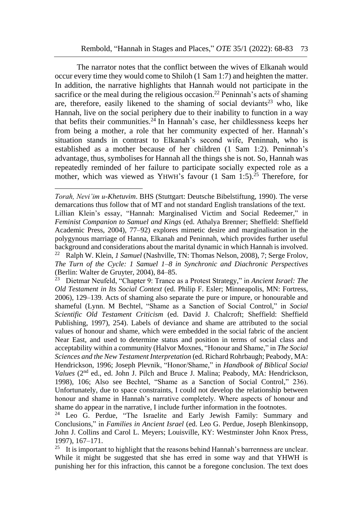The narrator notes that the conflict between the wives of Elkanah would occur every time they would come to Shiloh (1 Sam 1:7) and heighten the matter. In addition, the narrative highlights that Hannah would not participate in the sacrifice or the meal during the religious occasion.<sup>22</sup> Peninnah's acts of shaming are, therefore, easily likened to the shaming of social deviants<sup>23</sup> who, like Hannah, live on the social periphery due to their inability to function in a way that befits their communities.<sup>24</sup> In Hannah's case, her childlessness keeps her from being a mother, a role that her community expected of her. Hannah's situation stands in contrast to Elkanah's second wife, Peninnah, who is established as a mother because of her children (1 Sam 1:2). Peninnah's advantage, thus, symbolises for Hannah all the things she is not. So, Hannah was repeatedly reminded of her failure to participate socially expected role as a mother, which was viewed as YHWH's favour (1 Sam 1:5). <sup>25</sup> Therefore, for

*Torah, Nevi'im u-Khetuvim*. BHS (Stuttgart: Deutsche Bibelstiftung, 1990). The verse demarcations thus follow that of MT and not standard English translations of the text. Lillian Klein's essay, "Hannah: Marginalised Victim and Social Redeemer," in *Feminist Companion to Samuel and Kings* (ed. Athalya Brenner; Sheffield: Sheffield Academic Press, 2004), 77–92) explores mimetic desire and marginalisation in the polygynous marriage of Hanna, Elkanah and Peninnah, which provides further useful background and considerations about the marital dynamic in which Hannah is involved. <sup>22</sup> Ralph W. Klein, *1 Samuel* (Nashville, TN: Thomas Nelson, 2008), 7; Serge Frolov, *The Turn of the Cycle: 1 Samuel 1–8 in Synchronic and Diachronic Perspectives* (Berlin: Walter de Gruyter, 2004), 84–85.

<sup>23</sup> Dietmar Neufeld, "Chapter 9: Trance as a Protest Strategy," in *Ancient Israel: The Old Testament in Its Social Context* (ed. Philip F. Esler; Minneapolis, MN: Fortress, 2006), 129–139. Acts of shaming also separate the pure or impure, or honourable and shameful (Lynn. M Bechtel, "Shame as a Sanction of Social Control," in *Social Scientific Old Testament Criticism* (ed. David J. Chalcroft; Sheffield: Sheffield Publishing, 1997), 254). Labels of deviance and shame are attributed to the social values of honour and shame, which were embedded in the social fabric of the ancient Near East, and used to determine status and position in terms of social class and acceptability within a community (Halvor Moxnes, "Honour and Shame," in *The Social Sciences and the New Testament Interpretation* (ed. Richard Rohrbaugh; Peabody, MA: Hendrickson, 1996; Joseph Plevnik, "Honor/Shame," in *Handbook of Biblical Social*  Values (2<sup>nd</sup> ed., ed. John J. Pilch and Bruce J. Malina; Peabody, MA: Hendrickson, 1998), 106; Also see Bechtel, "Shame as a Sanction of Social Control," 236). Unfortunately, due to space constraints, I could not develop the relationship between honour and shame in Hannah's narrative completely. Where aspects of honour and shame do appear in the narrative, I include further information in the footnotes.

<sup>&</sup>lt;sup>24</sup> Leo G. Perdue, "The Israelite and Early Jewish Family: Summary and Conclusions," in *Families in Ancient Israel* (ed. Leo G. Perdue, Joseph Blenkinsopp, John J. Collins and Carol L. Meyers; Louisville, KY: Westminster John Knox Press, 1997), 167–171.

<sup>&</sup>lt;sup>25</sup> It is important to highlight that the reasons behind Hannah's barrenness are unclear. While it might be suggested that she has erred in some way and that YHWH is punishing her for this infraction, this cannot be a foregone conclusion. The text does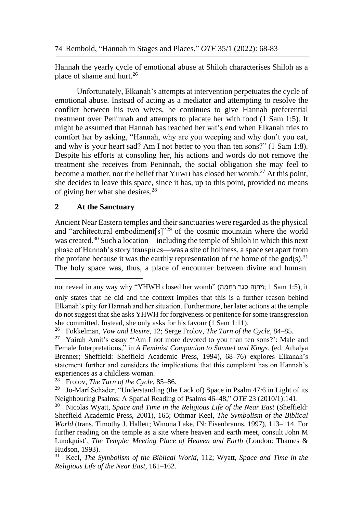Hannah the yearly cycle of emotional abuse at Shiloh characterises Shiloh as a place of shame and hurt.<sup>26</sup>

Unfortunately, Elkanah's attempts at intervention perpetuates the cycle of emotional abuse. Instead of acting as a mediator and attempting to resolve the conflict between his two wives, he continues to give Hannah preferential treatment over Peninnah and attempts to placate her with food (1 Sam 1:5). It might be assumed that Hannah has reached her wit's end when Elkanah tries to comfort her by asking, "Hannah, why are you weeping and why don't you eat, and why is your heart sad? Am I not better to you than ten sons?" (1 Sam 1:8). Despite his efforts at consoling her, his actions and words do not remove the treatment she receives from Peninnah, the social obligation she may feel to become a mother, nor the belief that YHWH has closed her womb.<sup>27</sup> At this point, she decides to leave this space, since it has, up to this point, provided no means of giving her what she desires. 28

#### **2 At the Sanctuary**

1

Ancient Near Eastern temples and their sanctuaries were regarded as the physical and "architectural embodiment[s]"<sup>29</sup> of the cosmic mountain where the world was created.<sup>30</sup> Such a location—including the temple of Shiloh in which this next phase of Hannah's story transpires—was a site of holiness, a space set apart from the profane because it was the earthly representation of the home of the god(s).<sup>31</sup> The holy space was, thus, a place of encounter between divine and human.

not reveal in any way why "YHWH closed her womb" (יִרהְוָה סְגַר רַחְמָה ;1 Sam 1:5), it only states that he did and the context implies that this is a further reason behind Elkanah's pity for Hannah and her situation. Furthermore, her later actions at the temple do not suggest that she asks YHWH for forgiveness or penitence for some transgression she committed. Instead, she only asks for his favour (1 Sam 1:11).

<sup>26</sup> Fokkelman, *Vow and Desire*, 12; Serge Frolov, *The Turn of the Cycle*, 84–85.

<sup>27</sup> Yairah Amit's essay "'Am I not more devoted to you than ten sons?': Male and Female Interpretations," in *A Feminist Companion to Samuel and Kings*. (ed. Athalya Brenner; Sheffield: Sheffield Academic Press, 1994), 68–76) explores Elkanah's statement further and considers the implications that this complaint has on Hannah's experiences as a childless woman.<br> $^{28}$  Erolay The Turn of the Cycle

<sup>28</sup> Frolov, *The Turn of the Cycle*, 85–86.

<sup>&</sup>lt;sup>29</sup> Jo-Marí Schäder, "Understanding (the Lack of) Space in Psalm 47:6 in Light of its Neighbouring Psalms: A Spatial Reading of Psalms 46–48," *OTE* 23 (2010/1):141.

<sup>30</sup> Nicolas Wyatt, *Space and Time in the Religious Life of the Near East* (Sheffield: Sheffield Academic Press, 2001), 165; Othmar Keel, *The Symbolism of the Biblical World* (trans. Timothy J. Hallett; Winona Lake, IN: Eisenbrauns, 1997), 113–114. For further reading on the temple as a site where heaven and earth meet, consult John M Lundquist', *The Temple: Meeting Place of Heaven and Earth* (London: Thames & Hudson, 1993).

<sup>31</sup> Keel, *The Symbolism of the Biblical World*, 112; Wyatt, *Space and Time in the Religious Life of the Near East*, 161–162.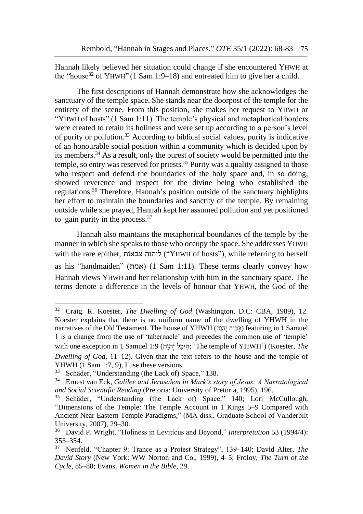Hannah likely believed her situation could change if she encountered YHWH at the "house<sup>32</sup> of YHWH" (1 Sam 1:9–18) and entreated him to give her a child.

The first descriptions of Hannah demonstrate how she acknowledges the sanctuary of the temple space. She stands near the doorpost of the temple for the entirety of the scene. From this position, she makes her request to YHWH or "YHWH of hosts" (1 Sam 1:11). The temple's physical and metaphorical borders were created to retain its holiness and were set up according to a person's level of purity or pollution. <sup>33</sup> According to biblical social values, purity is indicative of an honourable social position within a community which is decided upon by its members.<sup>34</sup> As a result, only the purest of society would be permitted into the temple, so entry was reserved for priests.<sup>35</sup> Purity was a quality assigned to those who respect and defend the boundaries of the holy space and, in so doing, showed reverence and respect for the divine being who established the regulations. <sup>36</sup> Therefore, Hannah's position outside of the sanctuary highlights her effort to maintain the boundaries and sanctity of the temple. By remaining outside while she prayed, Hannah kept her assumed pollution and yet positioned to gain purity in the process.  $37$ 

Hannah also maintains the metaphorical boundaries of the temple by the manner in which she speaks to those who occupy the space. She addresses YHWH with the rare epithet, ליהוה צבאות "YHWH of hosts"), while referring to herself as his "handmaiden" (אמת) (1 Sam 1:11). These terms clearly convey how Hannah views YHWH and her relationship with him in the sanctuary space. The terms denote a difference in the levels of honour that YHWH, the God of the

<sup>32</sup> Craig. R. Koester, *The Dwelling of God* (Washington, D.C: CBA, 1989), 12. Koester explains that there is no uniform name of the dwelling of YHWH in the narratives of the Old Testament. The house of YHWH (בִּבָית יָהוּה) featuring in 1 Samuel 1 is a change from the use of 'tabernacle' and precedes the common use of 'temple' with one exception in 1 Samuel 1:9 (הֵיכֵל יְהוָה; 'The temple of YHWH') (Koester, The *Dwelling of God*, 11–12). Given that the text refers to the house and the temple of

YHWH  $(1 \text{ Sam } 1:7, 9)$ , I use these versions.<br> $^{33}$  Schöder "Understanding (the Lack of) S

Schäder, "Understanding (the Lack of) Space," 138.

<sup>34</sup> Ernest van Eck, *Galilee and Jerusalem in Mark's story of Jesus: A Narratological and Social Scientific Reading* (Pretoria: University of Pretoria, 1995), 196.

<sup>&</sup>lt;sup>35</sup> Schäder, "Understanding (the Lack of) Space," 140; Lori McCullough, "Dimensions of the Temple: The Temple Account in 1 Kings 5–9 Compared with Ancient Near Eastern Temple Paradigms," (MA diss., Graduate School of Vanderbilt University, 2007), 29–30.

<sup>36</sup> David P. Wright, "Holiness in Leviticus and Beyond," *Interpretation* 53 (1994/4): 353–354.

<sup>37</sup> Neufeld, "Chapter 9: Trance as a Protest Strategy", 139–140; David Alter, *The David Story* (New York: WW Norton and Co., 1999), 4–5; Frolov, *The Turn of the Cycle*, 85–88; Evans, *Women in the Bible,* 29.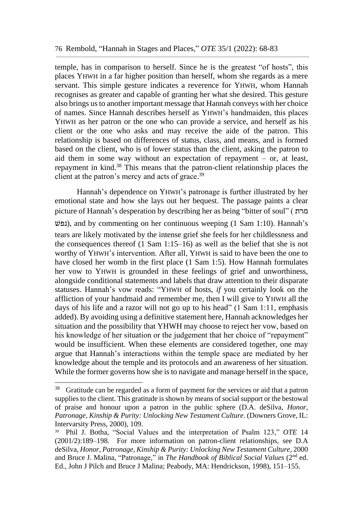temple, has in comparison to herself. Since he is the greatest "of hosts", this places YHWH in a far higher position than herself, whom she regards as a mere servant. This simple gesture indicates a reverence for YHWH, whom Hannah recognises as greater and capable of granting her what she desired. This gesture also brings us to another important message that Hannah conveys with her choice of names. Since Hannah describes herself as YHWH's handmaiden, this places YHWH as her patron or the one who can provide a service, and herself as his client or the one who asks and may receive the aide of the patron. This relationship is based on differences of status, class, and means, and is formed based on the client, who is of lower status than the client, asking the patron to aid them in some way without an expectation of repayment – or, at least, repayment in kind.<sup>38</sup> This means that the patron-client relationship places the client at the patron's mercy and acts of grace.<sup>39</sup>

Hannah's dependence on YHWH's patronage is further illustrated by her emotional state and how she lays out her bequest. The passage paints a clear picture of Hannah's desperation by describing her as being "bitter of soul" ( מרת שׁנפ(, and by commenting on her continuous weeping (1 Sam 1:10). Hannah's tears are likely motivated by the intense grief she feels for her childlessness and the consequences thereof (1 Sam 1:15–16) as well as the belief that she is not worthy of YHWH's intervention. After all, YHWH is said to have been the one to have closed her womb in the first place (1 Sam 1:5). How Hannah formulates her vow to YHWH is grounded in these feelings of grief and unworthiness, alongside conditional statements and labels that draw attention to their disparate statuses. Hannah's vow reads: "YHWH of hosts, *if* you certainly look on the affliction of your handmaid and remember me, then I will give to YHWH all the days of his life and a razor will not go up to his head" (1 Sam 1:11, emphasis added). By avoiding using a definitive statement here, Hannah acknowledges her situation and the possibility that YHWH may choose to reject her vow, based on his knowledge of her situation or the judgement that her choice of "repayment" would be insufficient. When these elements are considered together, one may argue that Hannah's interactions within the temple space are mediated by her knowledge about the temple and its protocols and an awareness of her situation. While the former governs how she is to navigate and manage herself in the space,

<sup>&</sup>lt;sup>38</sup> Gratitude can be regarded as a form of payment for the services or aid that a patron supplies to the client. This gratitude is shown by means of social support or the bestowal of praise and honour upon a patron in the public sphere (D.A. deSilva, *Honor, Patronage, Kinship & Purity: Unlocking New Testament Culture*. (Downers Grove, IL: Intervarsity Press, 2000), 109.

<sup>39</sup> Phil J. Botha, "Social Values and the interpretation of Psalm 123," *OTE* 14 (2001/2):189–198. For more information on patron-client relationships, see D.A deSilva, *Honor, Patronage, Kinship & Purity: Unlocking New Testament Culture*, 2000 and Bruce J. Malina, "Patronage," in *The Handbook of Biblical Social Values* (2<sup>nd</sup> ed. Ed., John J Pilch and Bruce J Malina; Peabody, MA: Hendrickson, 1998), 151–155.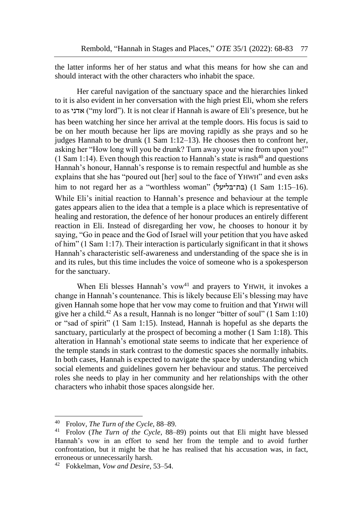the latter informs her of her status and what this means for how she can and should interact with the other characters who inhabit the space.

Her careful navigation of the sanctuary space and the hierarchies linked to it is also evident in her conversation with the high priest Eli, whom she refers to as אדני $'$ "my lord"). It is not clear if Hannah is aware of Eli's presence, but he has been watching her since her arrival at the temple doors. His focus is said to be on her mouth because her lips are moving rapidly as she prays and so he judges Hannah to be drunk (1 Sam 1:12–13). He chooses then to confront her, asking her "How long will you be drunk? Turn away your wine from upon you!" (1 Sam 1:14). Even though this reaction to Hannah's state is rash<sup>40</sup> and questions Hannah's honour, Hannah's response is to remain respectful and humble as she explains that she has "poured out [her] soul to the face of YHWH" and even asks him to not regard her as a "worthless woman" (יעלּבלּבת־ּ) (1 Sam 1:15–16). While Eli's initial reaction to Hannah's presence and behaviour at the temple gates appears alien to the idea that a temple is a place which is representative of healing and restoration, the defence of her honour produces an entirely different reaction in Eli. Instead of disregarding her vow, he chooses to honour it by saying, "Go in peace and the God of Israel will your petition that you have asked of him" (1 Sam 1:17). Their interaction is particularly significant in that it shows Hannah's characteristic self-awareness and understanding of the space she is in and its rules, but this time includes the voice of someone who is a spokesperson for the sanctuary.

When Eli blesses Hannah's vow<sup>41</sup> and prayers to YHWH, it invokes a change in Hannah's countenance. This is likely because Eli's blessing may have given Hannah some hope that her vow may come to fruition and that YHWH will give her a child.<sup>42</sup> As a result, Hannah is no longer "bitter of soul" (1 Sam 1:10) or "sad of spirit" (1 Sam 1:15). Instead, Hannah is hopeful as she departs the sanctuary, particularly at the prospect of becoming a mother (1 Sam 1:18). This alteration in Hannah's emotional state seems to indicate that her experience of the temple stands in stark contrast to the domestic spaces she normally inhabits. In both cases, Hannah is expected to navigate the space by understanding which social elements and guidelines govern her behaviour and status. The perceived roles she needs to play in her community and her relationships with the other characters who inhabit those spaces alongside her.

<sup>40</sup> Frolov, *The Turn of the Cycle*, 88–89.

<sup>41</sup> Frolov (*The Turn of the Cycle*, 88–89) points out that Eli might have blessed Hannah's vow in an effort to send her from the temple and to avoid further confrontation, but it might be that he has realised that his accusation was, in fact, erroneous or unnecessarily harsh.

<sup>42</sup> Fokkelman, *Vow and Desire*, 53–54.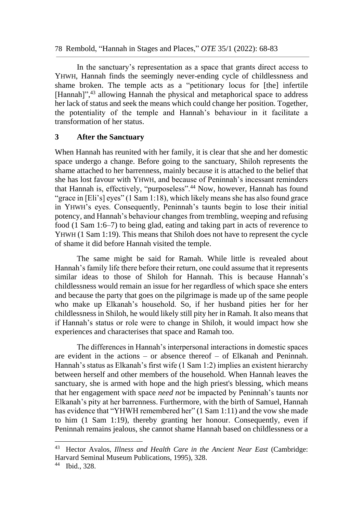78 Rembold, "Hannah in Stages and Places," *OTE* 35/1 (2022): 68-83

In the sanctuary's representation as a space that grants direct access to YHWH, Hannah finds the seemingly never-ending cycle of childlessness and shame broken. The temple acts as a "petitionary locus for [the] infertile [Hannah]",<sup>43</sup> allowing Hannah the physical and metaphorical space to address her lack of status and seek the means which could change her position. Together, the potentiality of the temple and Hannah's behaviour in it facilitate a transformation of her status.

#### **3 After the Sanctuary**

When Hannah has reunited with her family, it is clear that she and her domestic space undergo a change. Before going to the sanctuary, Shiloh represents the shame attached to her barrenness, mainly because it is attached to the belief that she has lost favour with YHWH, and because of Peninnah's incessant reminders that Hannah is, effectively, "purposeless".<sup>44</sup> Now, however, Hannah has found "grace in [Eli's] eyes" (1 Sam 1:18), which likely means she has also found grace in YHWH's eyes. Consequently, Peninnah's taunts begin to lose their initial potency, and Hannah's behaviour changes from trembling, weeping and refusing food (1 Sam 1:6–7) to being glad, eating and taking part in acts of reverence to YHWH (1 Sam 1:19). This means that Shiloh does not have to represent the cycle of shame it did before Hannah visited the temple.

The same might be said for Ramah. While little is revealed about Hannah's family life there before their return, one could assume that it represents similar ideas to those of Shiloh for Hannah. This is because Hannah's childlessness would remain an issue for her regardless of which space she enters and because the party that goes on the pilgrimage is made up of the same people who make up Elkanah's household. So, if her husband pities her for her childlessness in Shiloh, he would likely still pity her in Ramah. It also means that if Hannah's status or role were to change in Shiloh, it would impact how she experiences and characterises that space and Ramah too.

The differences in Hannah's interpersonal interactions in domestic spaces are evident in the actions – or absence thereof – of Elkanah and Peninnah. Hannah's status as Elkanah's first wife (1 Sam 1:2) implies an existent hierarchy between herself and other members of the household. When Hannah leaves the sanctuary, she is armed with hope and the high priest's blessing, which means that her engagement with space *need not* be impacted by Peninnah's taunts nor Elkanah's pity at her barrenness. Furthermore, with the birth of Samuel, Hannah has evidence that "YHWH remembered her" (1 Sam 1:11) and the vow she made to him (1 Sam 1:19), thereby granting her honour. Consequently, even if Peninnah remains jealous, she cannot shame Hannah based on childlessness or a

<sup>43</sup> Hector Avalos, *Illness and Health Care in the Ancient Near East* (Cambridge: Harvard Seminal Museum Publications, 1995), 328.

<sup>44</sup> Ibid., 328.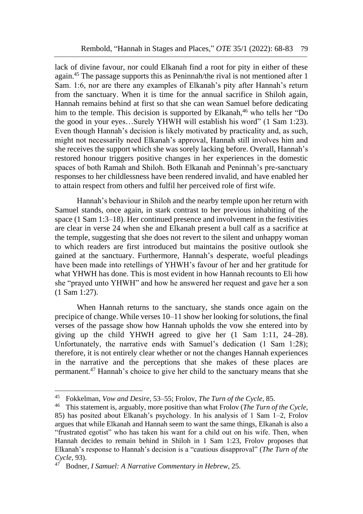lack of divine favour, nor could Elkanah find a root for pity in either of these again.<sup>45</sup> The passage supports this as Peninnah/the rival is not mentioned after 1 Sam. 1:6, nor are there any examples of Elkanah's pity after Hannah's return from the sanctuary. When it is time for the annual sacrifice in Shiloh again, Hannah remains behind at first so that she can wean Samuel before dedicating him to the temple. This decision is supported by Elkanah,<sup>46</sup> who tells her "Do the good in your eyes…Surely YHWH will establish his word" (1 Sam 1:23). Even though Hannah's decision is likely motivated by practicality and, as such, might not necessarily need Elkanah's approval, Hannah still involves him and she receives the support which she was sorely lacking before. Overall, Hannah's restored honour triggers positive changes in her experiences in the domestic spaces of both Ramah and Shiloh. Both Elkanah and Peninnah's pre-sanctuary responses to her childlessness have been rendered invalid, and have enabled her to attain respect from others and fulfil her perceived role of first wife.

Hannah's behaviour in Shiloh and the nearby temple upon her return with Samuel stands, once again, in stark contrast to her previous inhabiting of the space (1 Sam 1:3–18). Her continued presence and involvement in the festivities are clear in verse 24 when she and Elkanah present a bull calf as a sacrifice at the temple, suggesting that she does not revert to the silent and unhappy woman to which readers are first introduced but maintains the positive outlook she gained at the sanctuary. Furthermore, Hannah's desperate, woeful pleadings have been made into retellings of YHWH's favour of her and her gratitude for what YHWH has done. This is most evident in how Hannah recounts to Eli how she "prayed unto YHWH" and how he answered her request and gave her a son (1 Sam 1:27).

When Hannah returns to the sanctuary, she stands once again on the precipice of change. While verses 10–11 show her looking for solutions, the final verses of the passage show how Hannah upholds the vow she entered into by giving up the child YHWH agreed to give her (1 Sam 1:11, 24–28). Unfortunately, the narrative ends with Samuel's dedication (1 Sam 1:28); therefore, it is not entirely clear whether or not the changes Hannah experiences in the narrative and the perceptions that she makes of these places are permanent.<sup>47</sup> Hannah's choice to give her child to the sanctuary means that she

<sup>45</sup> Fokkelman, *Vow and Desire*, 53–55; Frolov, *The Turn of the Cycle*, 85.

<sup>46</sup> This statement is, arguably, more positive than what Frolov (*The Turn of the Cycle*, 85) has posited about Elkanah's psychology. In his analysis of 1 Sam 1–2, Frolov argues that while Elkanah and Hannah seem to want the same things, Elkanah is also a "frustrated egotist" who has taken his want for a child out on his wife. Then, when Hannah decides to remain behind in Shiloh in 1 Sam 1:23, Frolov proposes that Elkanah's response to Hannah's decision is a "cautious disapproval" (*The Turn of the Cycle*, 93).

<sup>47</sup> Bodner, *I Samuel: A Narrative Commentary in Hebrew*, 25.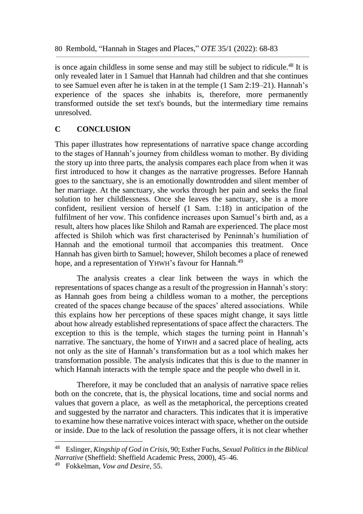is once again childless in some sense and may still be subject to ridicule.<sup>48</sup> It is only revealed later in 1 Samuel that Hannah had children and that she continues to see Samuel even after he is taken in at the temple (1 Sam 2:19–21). Hannah's experience of the spaces she inhabits is, therefore, more permanently transformed outside the set text's bounds, but the intermediary time remains unresolved.

## **C CONCLUSION**

This paper illustrates how representations of narrative space change according to the stages of Hannah's journey from childless woman to mother. By dividing the story up into three parts, the analysis compares each place from when it was first introduced to how it changes as the narrative progresses. Before Hannah goes to the sanctuary, she is an emotionally downtrodden and silent member of her marriage. At the sanctuary, she works through her pain and seeks the final solution to her childlessness. Once she leaves the sanctuary, she is a more confident, resilient version of herself (1 Sam. 1:18) in anticipation of the fulfilment of her vow. This confidence increases upon Samuel's birth and, as a result, alters how places like Shiloh and Ramah are experienced. The place most affected is Shiloh which was first characterised by Peninnah's humiliation of Hannah and the emotional turmoil that accompanies this treatment. Once Hannah has given birth to Samuel; however, Shiloh becomes a place of renewed hope, and a representation of YHWH's favour for Hannah.<sup>49</sup>

The analysis creates a clear link between the ways in which the representations of spaces change as a result of the progression in Hannah's story: as Hannah goes from being a childless woman to a mother, the perceptions created of the spaces change because of the spaces' altered associations. While this explains how her perceptions of these spaces might change, it says little about how already established representations of space affect the characters. The exception to this is the temple, which stages the turning point in Hannah's narrative. The sanctuary, the home of YHWH and a sacred place of healing, acts not only as the site of Hannah's transformation but as a tool which makes her transformation possible. The analysis indicates that this is due to the manner in which Hannah interacts with the temple space and the people who dwell in it.

Therefore, it may be concluded that an analysis of narrative space relies both on the concrete, that is, the physical locations, time and social norms and values that govern a place, as well as the metaphorical, the perceptions created and suggested by the narrator and characters. This indicates that it is imperative to examine how these narrative voices interact with space, whether on the outside or inside. Due to the lack of resolution the passage offers, it is not clear whether

<sup>48</sup> Eslinger, *Kingship of God in Crisis*, 90; Esther Fuchs, *Sexual Politics in the Biblical Narrative* (Sheffield: Sheffield Academic Press, 2000), 45–46.

<sup>49</sup> Fokkelman, *Vow and Desire*, 55.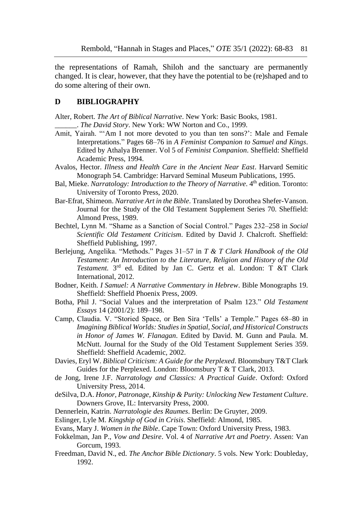the representations of Ramah, Shiloh and the sanctuary are permanently changed. It is clear, however, that they have the potential to be (re)shaped and to do some altering of their own.

#### **D BIBLIOGRAPHY**

Alter, Robert. *The Art of Biblical Narrative*. New York: Basic Books, 1981.

\_\_\_\_\_\_. *The David Story*. New York: WW Norton and Co., 1999.

- Amit, Yairah. "'Am I not more devoted to you than ten sons?': Male and Female Interpretations." Pages 68–76 in *A Feminist Companion to Samuel and Kings*. Edited by Athalya Brenner. Vol 5 of *Feminist Companion*. Sheffield: Sheffield Academic Press, 1994.
- Avalos, Hector. *Illness and Health Care in the Ancient Near East*. Harvard Semitic Monograph 54. Cambridge: Harvard Seminal Museum Publications, 1995.
- Bal, Mieke. *Narratology: Introduction to the Theory of Narrative*. 4<sup>th</sup> edition. Toronto: University of Toronto Press, 2020.
- Bar-Efrat, Shimeon. *Narrative Art in the Bible*. Translated by Dorothea Shefer-Vanson. Journal for the Study of the Old Testament Supplement Series 70. Sheffield: Almond Press, 1989.
- Bechtel, Lynn M. "Shame as a Sanction of Social Control." Pages 232–258 in *Social Scientific Old Testament Criticism*. Edited by David J. Chalcroft. Sheffield: Sheffield Publishing, 1997.
- Berlejung, Angelika. "Methods." Pages 31–57 in *T & T Clark Handbook of the Old Testament*: *An Introduction to the Literature, Religion and History of the Old*  Testament. 3<sup>rd</sup> ed. Edited by Jan C. Gertz et al. London: T &T Clark International, 2012.
- Bodner, Keith. *I Samuel: A Narrative Commentary in Hebrew*. Bible Monographs 19. Sheffield: Sheffield Phoenix Press, 2009.
- Botha, Phil J. "Social Values and the interpretation of Psalm 123." *Old Testament Essays* 14 (2001/2): 189–198.
- Camp, Claudia. V. "Storied Space, or Ben Sira 'Tells' a Temple." Pages 68–80 in *Imagining Biblical Worlds: Studies in Spatial, Social, and Historical Constructs in Honor of James W. Flanagan*. Edited by David. M. Gunn and Paula. M. McNutt. Journal for the Study of the Old Testament Supplement Series 359. Sheffield: Sheffield Academic, 2002.
- Davies, Eryl W. *Biblical Criticism: A Guide for the Perplexed*. Bloomsbury T&T Clark Guides for the Perplexed. London: Bloomsbury T & T Clark, 2013.
- de Jong, Irene J.F. *Narratology and Classics: A Practical Guide*. Oxford: Oxford University Press, 2014.
- deSilva, D.A. *Honor, Patronage, Kinship & Purity: Unlocking New Testament Culture*. Downers Grove, IL: Intervarsity Press, 2000.
- Dennerlein, Katrin. *Narratologie des Raumes*. Berlin: De Gruyter, 2009.
- Eslinger, Lyle M. *Kingship of God in Crisis*. Sheffield: Almond, 1985.
- Evans, Mary J. *Women in the Bible*. Cape Town: Oxford University Press, 1983.
- Fokkelman, Jan P., *Vow and Desire*. Vol. 4 of *Narrative Art and Poetry*. Assen: Van Gorcum, 1993.
- Freedman, David N., ed. *The Anchor Bible Dictionary*. 5 vols. New York: Doubleday, 1992.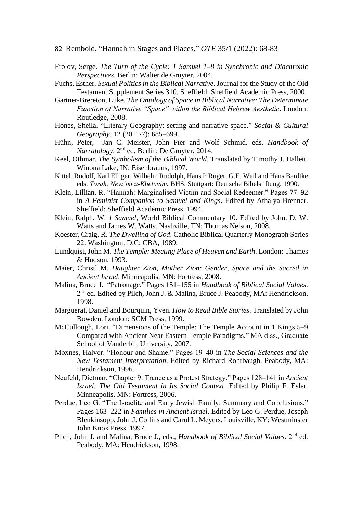- Frolov, Serge. *The Turn of the Cycle: 1 Samuel 1–8 in Synchronic and Diachronic Perspectives*. Berlin: Walter de Gruyter, 2004.
- Fuchs, Esther. *Sexual Politics in the Biblical Narrative*. Journal for the Study of the Old Testament Supplement Series 310. Sheffield: Sheffield Academic Press, 2000.
- Gartner-Brereton, Luke. *The Ontology of Space in Biblical Narrative: The Determinate Function of Narrative "Space" within the Biblical Hebrew Aesthetic*. London: Routledge, 2008.
- Hones, Sheila. "Literary Geography: setting and narrative space." *Social & Cultural Geography*, 12 (2011/7): 685–699.
- Hühn, Peter, Jan C. Meister, John Pier and Wolf Schmid. eds. *Handbook of Narratology*. 2nd ed. Berlin: De Gruyter, 2014.
- Keel, Othmar. *The Symbolism of the Biblical World*. Translated by Timothy J. Hallett. Winona Lake, IN: Eisenbrauns, 1997.
- Kittel, Rudolf, Karl Elliger, Wilhelm Rudolph, Hans P Rüger, G.E. Weil and Hans Bardtke eds. *Torah, Nevi'im u-Khetuvim.* BHS. Stuttgart: Deutsche Bibelstiftung, 1990.
- Klein, Lillian. R. "Hannah: Marginalised Victim and Social Redeemer." Pages 77–92 in *A Feminist Companion to Samuel and Kings*. Edited by Athalya Brenner. Sheffield: Sheffield Academic Press, 1994.
- Klein, Ralph. W. *1 Samuel*, World Biblical Commentary 10. Edited by John. D. W. Watts and James W. Watts. Nashville, TN: Thomas Nelson, 2008.
- Koester, Craig. R. *The Dwelling of God*. Catholic Biblical Quarterly Monograph Series 22. Washington, D.C: CBA, 1989.
- Lundquist, John M. *The Temple: Meeting Place of Heaven and Earth*. London: Thames & Hudson, 1993.
- Maier, Christl M. *Daughter Zion, Mother Zion: Gender, Space and the Sacred in Ancient Israel*. Minneapolis, MN: Fortress, 2008.
- Malina, Bruce J. "Patronage." Pages 151–155 in *Handbook of Biblical Social Values*. 2<sup>nd</sup> ed. Edited by Pilch, John J. & Malina, Bruce J. Peabody, MA: Hendrickson, 1998.
- Marguerat, Daniel and Bourquin, Yven. *How to Read Bible Stories*. Translated by John Bowden. London: SCM Press, 1999.
- McCullough, Lori. "Dimensions of the Temple: The Temple Account in 1 Kings 5–9 Compared with Ancient Near Eastern Temple Paradigms." MA diss., Graduate School of Vanderbilt University, 2007.
- Moxnes, Halvor. "Honour and Shame." Pages 19–40 in *The Social Sciences and the New Testament Interpretation*. Edited by Richard Rohrbaugh. Peabody, MA: Hendrickson, 1996.
- Neufeld, Dietmar. "Chapter 9: Trance as a Protest Strategy." Pages 128–141 in *Ancient Israel: The Old Testament in Its Social Context*. Edited by Philip F. Esler. Minneapolis, MN: Fortress, 2006.
- Perdue, Leo G. "The Israelite and Early Jewish Family: Summary and Conclusions." Pages 163–222 in *Families in Ancient Israel*. Edited by Leo G. Perdue, Joseph Blenkinsopp, John J. Collins and Carol L. Meyers. Louisville, KY: Westminster John Knox Press, 1997.
- Pilch, John J. and Malina, Bruce J., eds., *Handbook of Biblical Social Values*. 2<sup>nd</sup> ed. Peabody, MA: Hendrickson, 1998.